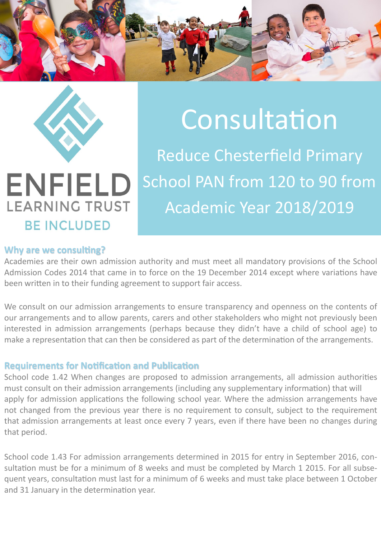



**LEARNING TRUST** 

**BE INCLUDED** 

# Consultation

Reduce Chesterfield Primary School PAN from 120 to 90 from Academic Year 2018/2019

#### **Why are we consulting?**

Academies are their own admission authority and must meet all mandatory provisions of the School Admission Codes 2014 that came in to force on the 19 December 2014 except where variations have been written in to their funding agreement to support fair access.

We consult on our admission arrangements to ensure transparency and openness on the contents of our arrangements and to allow parents, carers and other stakeholders who might not previously been interested in admission arrangements (perhaps because they didn't have a child of school age) to make a representation that can then be considered as part of the determination of the arrangements.

#### **Requirements for Notification and Publication**

School code 1.42 When changes are proposed to admission arrangements, all admission authorities must consult on their admission arrangements (including any supplementary information) that will apply for admission applications the following school year. Where the admission arrangements have not changed from the previous year there is no requirement to consult, subject to the requirement that admission arrangements at least once every 7 years, even if there have been no changes during that period.

School code 1.43 For admission arrangements determined in 2015 for entry in September 2016, consultation must be for a minimum of 8 weeks and must be completed by March 1 2015. For all subsequent years, consultation must last for a minimum of 6 weeks and must take place between 1 October and 31 January in the determination year.